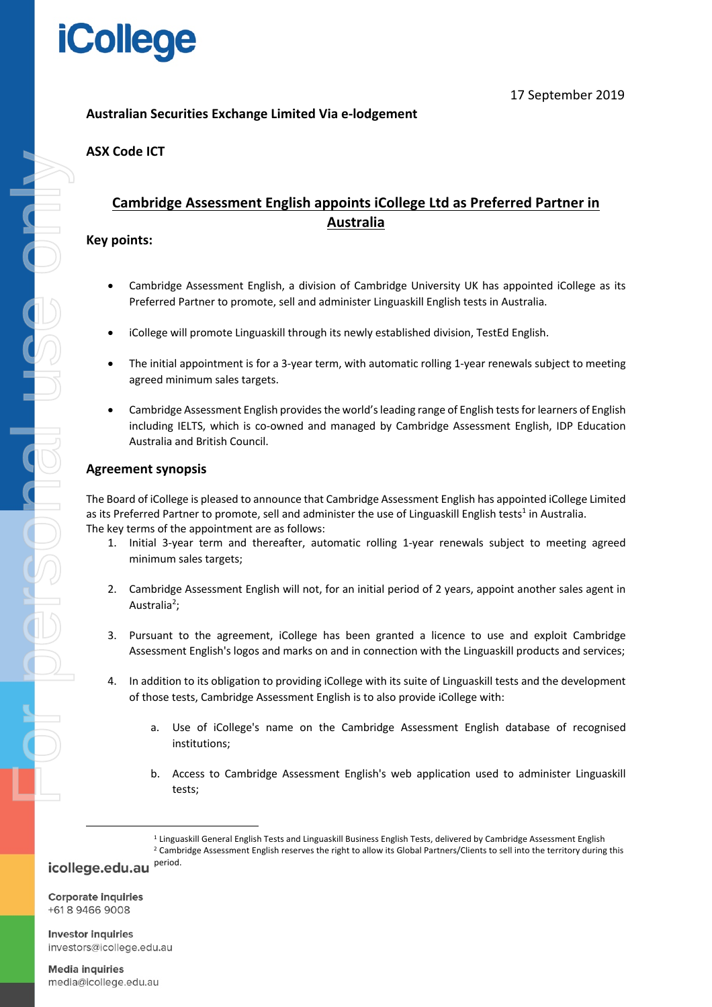

## **Australian Securities Exchange Limited Via e-lodgement**

## **ASX Code ICT**

## **Cambridge Assessment English appoints iCollege Ltd as Preferred Partner in Australia**

## **Key points:**

- Cambridge Assessment English, a division of Cambridge University UK has appointed iCollege as its Preferred Partner to promote, sell and administer Linguaskill English tests in Australia.
- iCollege will promote Linguaskill through its newly established division, TestEd English.
- The initial appointment is for a 3-year term, with automatic rolling 1-year renewals subject to meeting agreed minimum sales targets.
- Cambridge Assessment English provides the world's leading range of English tests for learners of English including IELTS, which is co-owned and managed by Cambridge Assessment English, IDP Education Australia and British Council.

## **Agreement synopsis**

The Board of iCollege is pleased to announce that Cambridge Assessment English has appointed iCollege Limited as its Preferred Partner to promote, sell and administer the use of Linguaskill English tests<sup>1</sup> in Australia. The key terms of the appointment are as follows:

- 1. Initial 3-year term and thereafter, automatic rolling 1-year renewals subject to meeting agreed minimum sales targets;
- 2. Cambridge Assessment English will not, for an initial period of 2 years, appoint another sales agent in Australia<sup>2</sup>;
- 3. Pursuant to the agreement, iCollege has been granted a licence to use and exploit Cambridge Assessment English's logos and marks on and in connection with the Linguaskill products and services;
- 4. In addition to its obligation to providing iCollege with its suite of Linguaskill tests and the development of those tests, Cambridge Assessment English is to also provide iCollege with:
	- a. Use of iCollege's name on the Cambridge Assessment English database of recognised institutions;
	- b. Access to Cambridge Assessment English's web application used to administer Linguaskill tests;

<sup>2</sup> Cambridge Assessment English reserves the right to allow its Global Partners/Clients to sell into the territory during this icollege.edu.au Period.

**Corporate inquiries** +61894669008

**Investor inquiries** investors@icollege.edu.au

<sup>&</sup>lt;sup>1</sup> Linguaskill General English Tests and Linguaskill Business English Tests, delivered by Cambridge Assessment English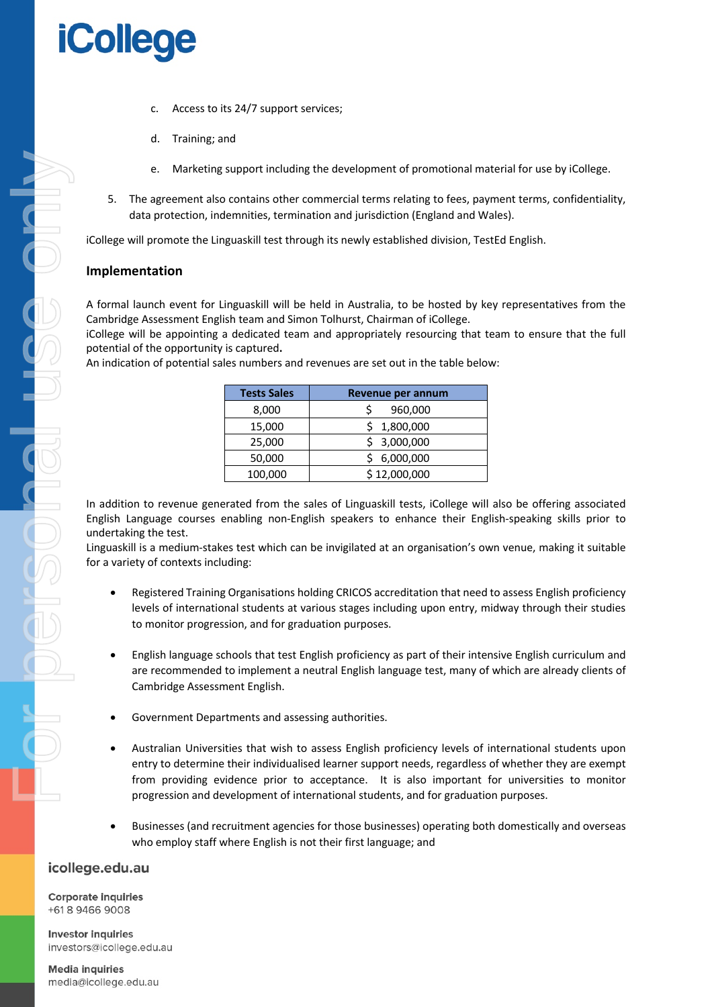# **iCollege**

- c. Access to its 24/7 support services;
- d. Training; and
- e. Marketing support including the development of promotional material for use by iCollege.
- 5. The agreement also contains other commercial terms relating to fees, payment terms, confidentiality, data protection, indemnities, termination and jurisdiction (England and Wales).

iCollege will promote the Linguaskill test through its newly established division, TestEd English.

### **Implementation**

A formal launch event for Linguaskill will be held in Australia, to be hosted by key representatives from the Cambridge Assessment English team and Simon Tolhurst, Chairman of iCollege.

iCollege will be appointing a dedicated team and appropriately resourcing that team to ensure that the full potential of the opportunity is captured**.**

An indication of potential sales numbers and revenues are set out in the table below:

| <b>Tests Sales</b> | Revenue per annum |
|--------------------|-------------------|
| 8,000              | 960,000           |
| 15,000             | 1,800,000         |
| 25,000             | 3,000,000         |
| 50,000             | 6,000,000         |
| 100,000            | \$12,000,000      |

In addition to revenue generated from the sales of Linguaskill tests, iCollege will also be offering associated English Language courses enabling non-English speakers to enhance their English-speaking skills prior to undertaking the test.

Linguaskill is a medium-stakes test which can be invigilated at an organisation's own venue, making it suitable for a variety of contexts including:

- Registered Training Organisations holding CRICOS accreditation that need to assess English proficiency levels of international students at various stages including upon entry, midway through their studies to monitor progression, and for graduation purposes.
- English language schools that test English proficiency as part of their intensive English curriculum and are recommended to implement a neutral English language test, many of which are already clients of Cambridge Assessment English.
- Government Departments and assessing authorities.
- Australian Universities that wish to assess English proficiency levels of international students upon entry to determine their individualised learner support needs, regardless of whether they are exempt from providing evidence prior to acceptance. It is also important for universities to monitor progression and development of international students, and for graduation purposes.
- Businesses (and recruitment agencies for those businesses) operating both domestically and overseas who employ staff where English is not their first language; and

## icollege.edu.au

**Corporate inquiries** +61894669008

**Investor inquiries** investors@icollege.edu.au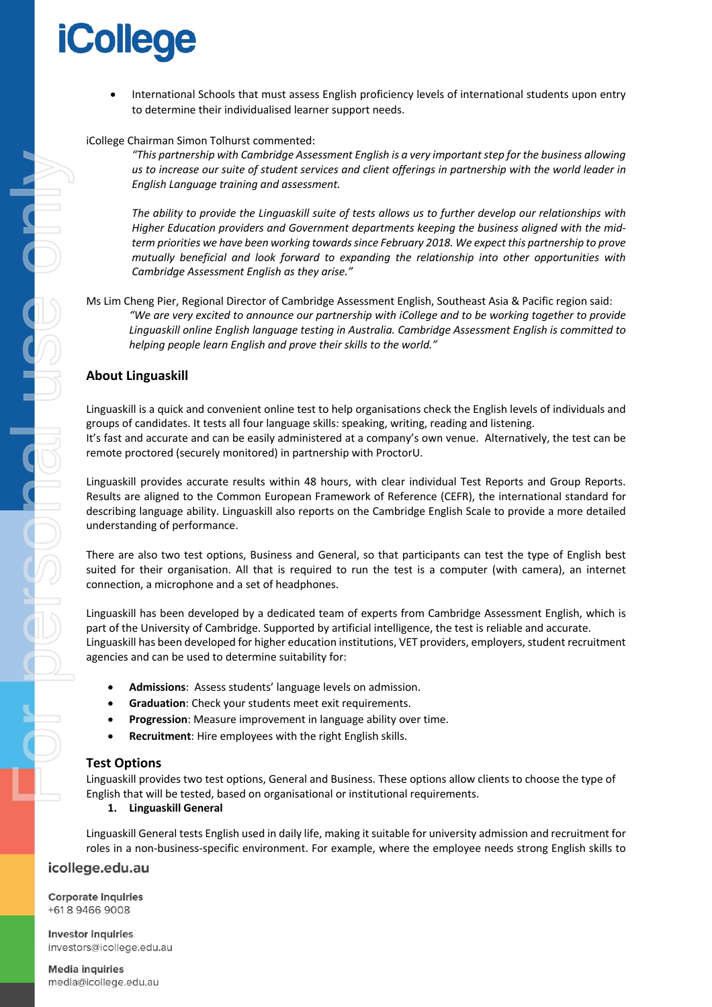

• International Schools that must assess English proficiency levels of international students upon entry to determine their individualised learner support needs.

#### iCollege Chairman Simon Tolhurst commented:

*"This partnership with Cambridge Assessment English is a very important step for the business allowing us to increase our suite of student services and client offerings in partnership with the world leader in English Language training and assessment.* 

*The ability to provide the Linguaskill suite of tests allows us to further develop our relationships with Higher Education providers and Government departments keeping the business aligned with the midterm priorities we have been working towardssince February 2018. We expect this partnership to prove mutually beneficial and look forward to expanding the relationship into other opportunities with Cambridge Assessment English as they arise."*

Ms Lim Cheng Pier, Regional Director of Cambridge Assessment English, Southeast Asia & Pacific region said: *"We are very excited to announce our partnership with iCollege and to be working together to provide Linguaskill online English language testing in Australia. Cambridge Assessment English is committed to helping people learn English and prove their skills to the world."*

### **About Linguaskill**

Linguaskill is a quick and convenient online test to help organisations check the English levels of individuals and groups of candidates. It tests all four language skills: speaking, writing, reading and listening. It's fast and accurate and can be easily administered at a company's own venue. Alternatively, the test can be remote proctored (securely monitored) in partnership with ProctorU.

Linguaskill provides accurate results within 48 hours, with clear individual Test Reports and Group Reports. Results are aligned to the Common European Framework of Reference (CEFR), the international standard for describing language ability. Linguaskill also reports on the Cambridge English Scale to provide a more detailed understanding of performance.

There are also two test options, Business and General, so that participants can test the type of English best suited for their organisation. All that is required to run the test is a computer (with camera), an internet connection, a microphone and a set of headphones.

Linguaskill has been developed by a dedicated team of experts from Cambridge Assessment English, which is part of the University of Cambridge. Supported by artificial intelligence, the test is reliable and accurate. Linguaskill has been developed for higher education institutions, VET providers, employers, student recruitment agencies and can be used to determine suitability for:

- **Admissions**: Assess students' language levels on admission.
- **Graduation**: Check your students meet exit requirements.
- **Progression**: Measure improvement in language ability over time.
- **Recruitment**: Hire employees with the right English skills.

#### **Test Options**

Linguaskill provides two test options, General and Business. These options allow clients to choose the type of English that will be tested, based on organisational or institutional requirements.

#### **1. Linguaskill General**

Linguaskill General tests English used in daily life, making it suitable for university admission and recruitment for roles in a non-business-specific environment. For example, where the employee needs strong English skills to

#### icollege.edu.au

**Corporate inquiries** +61894669008

**Investor inquiries** investors@icollege.edu.au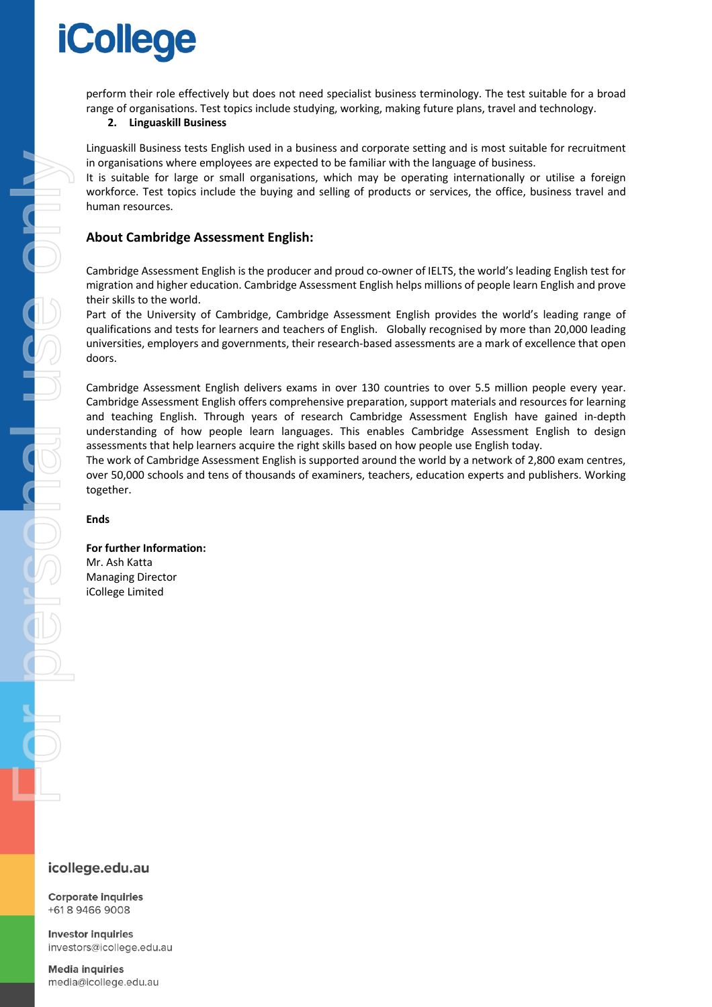# **iCollege**

perform their role effectively but does not need specialist business terminology. The test suitable for a broad range of organisations. Test topics include studying, working, making future plans, travel and technology.

#### **2. Linguaskill Business**

Linguaskill Business tests English used in a business and corporate setting and is most suitable for recruitment in organisations where employees are expected to be familiar with the language of business.

It is suitable for large or small organisations, which may be operating internationally or utilise a foreign workforce. Test topics include the buying and selling of products or services, the office, business travel and human resources.

## **About Cambridge Assessment English:**

Cambridge Assessment English is the producer and proud co-owner of IELTS, the world's leading English test for migration and higher education. Cambridge Assessment English helps millions of people learn English and prove their skills to the world.

Part of the University of Cambridge, Cambridge Assessment English provides the world's leading range of qualifications and tests for learners and teachers of English. Globally recognised by more than 20,000 leading universities, employers and governments, their research-based assessments are a mark of excellence that open doors.

Cambridge Assessment English delivers exams in over 130 countries to over 5.5 million people every year. Cambridge Assessment English offers comprehensive preparation, support materials and resources for learning and teaching English. Through years of research Cambridge Assessment English have gained in-depth understanding of how people learn languages. This enables Cambridge Assessment English to design assessments that help learners acquire the right skills based on how people use English today.

The work of Cambridge Assessment English is supported around the world by a network of 2,800 exam centres, over 50,000 schools and tens of thousands of examiners, teachers, education experts and publishers. Working together.

#### **Ends**

**For further Information:**  Mr. Ash Katta Managing Director iCollege Limited

## icollege.edu.au

**Corporate inquiries** +61894669008

**Investor inquiries** investors@icollege.edu.au